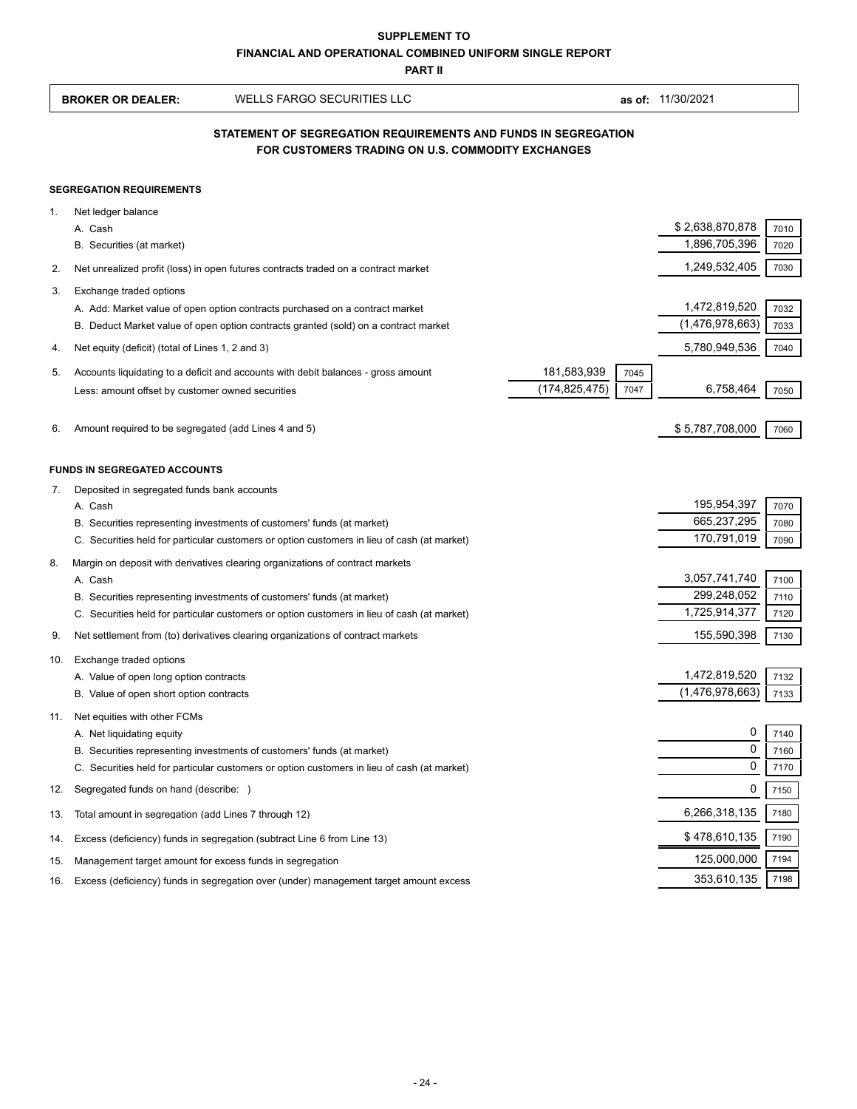|     | <b>SUPPLEMENT TO</b><br><b>FINANCIAL AND OPERATIONAL COMBINED UNIFORM SINGLE REPORT</b><br><b>PART II</b> |                                                                                                                                                                       |                 |      |                            |              |  |
|-----|-----------------------------------------------------------------------------------------------------------|-----------------------------------------------------------------------------------------------------------------------------------------------------------------------|-----------------|------|----------------------------|--------------|--|
|     | <b>BROKER OR DEALER:</b>                                                                                  | <b>WELLS FARGO SECURITIES LLC</b>                                                                                                                                     |                 |      | as of: 11/30/2021          |              |  |
|     |                                                                                                           | STATEMENT OF SEGREGATION REQUIREMENTS AND FUNDS IN SEGREGATION<br>FOR CUSTOMERS TRADING ON U.S. COMMODITY EXCHANGES                                                   |                 |      |                            |              |  |
|     | <b>SEGREGATION REQUIREMENTS</b>                                                                           |                                                                                                                                                                       |                 |      |                            |              |  |
| 1.  | Net ledger balance                                                                                        |                                                                                                                                                                       |                 |      |                            |              |  |
|     | A. Cash                                                                                                   |                                                                                                                                                                       |                 |      | \$2,638,870,878            | 7010         |  |
|     | B. Securities (at market)                                                                                 |                                                                                                                                                                       |                 |      | 1,896,705,396              | 7020         |  |
| 2.  |                                                                                                           | Net unrealized profit (loss) in open futures contracts traded on a contract market                                                                                    |                 |      | 1,249,532,405              | 7030         |  |
| 3.  | Exchange traded options                                                                                   |                                                                                                                                                                       |                 |      |                            |              |  |
|     |                                                                                                           | A. Add: Market value of open option contracts purchased on a contract market                                                                                          |                 |      | 1,472,819,520              | 7032         |  |
|     |                                                                                                           | B. Deduct Market value of open option contracts granted (sold) on a contract market                                                                                   |                 |      | (1,476,978,663)            | 7033         |  |
| 4.  | Net equity (deficit) (total of Lines 1, 2 and 3)                                                          |                                                                                                                                                                       |                 |      | 5,780,949,536              | 7040         |  |
| 5.  |                                                                                                           | Accounts liquidating to a deficit and accounts with debit balances - gross amount                                                                                     | 181,583,939     | 7045 |                            |              |  |
|     | Less: amount offset by customer owned securities                                                          |                                                                                                                                                                       | (174, 825, 475) | 7047 | 6,758,464                  | 7050         |  |
|     |                                                                                                           |                                                                                                                                                                       |                 |      |                            |              |  |
| 6.  | Amount required to be segregated (add Lines 4 and 5)                                                      |                                                                                                                                                                       |                 |      | \$5,787,708,000            | 7060         |  |
|     | <b>FUNDS IN SEGREGATED ACCOUNTS</b>                                                                       |                                                                                                                                                                       |                 |      |                            |              |  |
| 7.  | Deposited in segregated funds bank accounts                                                               |                                                                                                                                                                       |                 |      |                            |              |  |
|     | A. Cash                                                                                                   |                                                                                                                                                                       |                 |      | 195,954,397                | 7070         |  |
|     |                                                                                                           | B. Securities representing investments of customers' funds (at market)<br>C. Securities held for particular customers or option customers in lieu of cash (at market) |                 |      | 665,237,295<br>170,791,019 | 7080<br>7090 |  |
|     |                                                                                                           |                                                                                                                                                                       |                 |      |                            |              |  |
| 8.  | A. Cash                                                                                                   | Margin on deposit with derivatives clearing organizations of contract markets                                                                                         |                 |      | 3,057,741,740              | 7100         |  |
|     |                                                                                                           | B. Securities representing investments of customers' funds (at market)                                                                                                |                 |      | 299,248,052                | 7110         |  |
|     |                                                                                                           | C. Securities held for particular customers or option customers in lieu of cash (at market)                                                                           |                 |      | 1,725,914,377              | 7120         |  |
| 9.  |                                                                                                           | Net settlement from (to) derivatives clearing organizations of contract markets                                                                                       |                 |      | 155,590,398                | 7130         |  |
| 10. | Exchange traded options                                                                                   |                                                                                                                                                                       |                 |      |                            |              |  |
|     | A. Value of open long option contracts                                                                    |                                                                                                                                                                       |                 |      | 1,472,819,520              | 7132         |  |
|     | B. Value of open short option contracts                                                                   |                                                                                                                                                                       |                 |      | (1,476,978,663)            | 7133         |  |
| 11. | Net equities with other FCMs                                                                              |                                                                                                                                                                       |                 |      |                            |              |  |
|     | A. Net liquidating equity                                                                                 |                                                                                                                                                                       |                 |      | 0                          | 7140         |  |
|     |                                                                                                           | B. Securities representing investments of customers' funds (at market)                                                                                                |                 |      | 0<br>0                     | 7160         |  |
|     |                                                                                                           | C. Securities held for particular customers or option customers in lieu of cash (at market)                                                                           |                 |      |                            | 7170         |  |
| 12. | Segregated funds on hand (describe: )                                                                     |                                                                                                                                                                       |                 |      | 0                          | 7150         |  |
| 13. | Total amount in segregation (add Lines 7 through 12)                                                      |                                                                                                                                                                       |                 |      | 6,266,318,135              | 7180         |  |
| 14. |                                                                                                           | Excess (deficiency) funds in segregation (subtract Line 6 from Line 13)                                                                                               |                 |      | \$478,610,135              | 7190         |  |
| 15. | Management target amount for excess funds in segregation                                                  |                                                                                                                                                                       |                 |      | 125,000,000                | 7194         |  |
| 16. |                                                                                                           | Excess (deficiency) funds in segregation over (under) management target amount excess                                                                                 |                 |      | 353,610,135                | 7198         |  |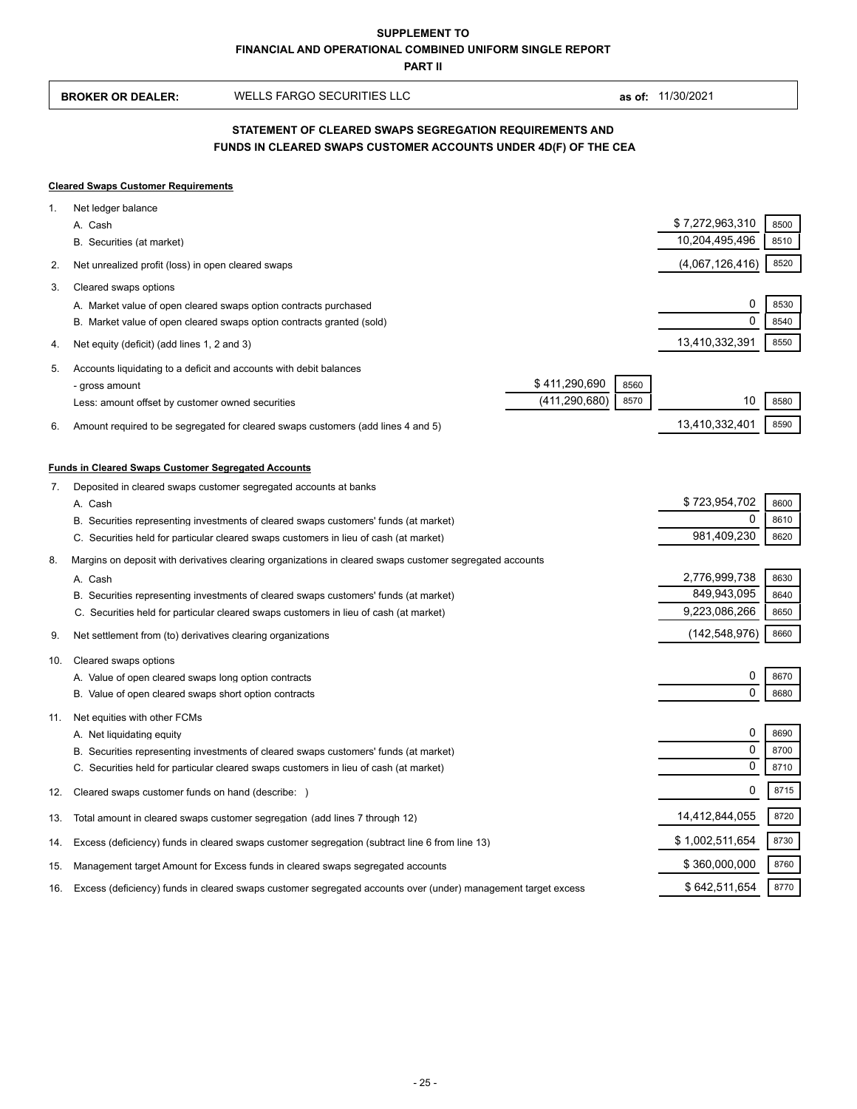**PART II**

| <b>BROKER OR DEALER:</b> | WELLS FARGO SECURITIES LLC |  |
|--------------------------|----------------------------|--|

**as of:** 11/30/2021

## **FUNDS IN CLEARED SWAPS CUSTOMER ACCOUNTS UNDER 4D(F) OF THE CEA STATEMENT OF CLEARED SWAPS SEGREGATION REQUIREMENTS AND**

## **Cleared Swaps Customer Requirements**

| 1.  | Net ledger balance                                                                                                                                                            |                              |              |
|-----|-------------------------------------------------------------------------------------------------------------------------------------------------------------------------------|------------------------------|--------------|
|     | A. Cash                                                                                                                                                                       | \$7,272,963,310              | 8500         |
|     | B. Securities (at market)                                                                                                                                                     | 10,204,495,496               | 8510         |
| 2.  | Net unrealized profit (loss) in open cleared swaps                                                                                                                            | (4,067,126,416)              | 8520         |
| 3.  | Cleared swaps options                                                                                                                                                         |                              |              |
|     | A. Market value of open cleared swaps option contracts purchased                                                                                                              | $\mathbf 0$                  | 8530         |
|     | B. Market value of open cleared swaps option contracts granted (sold)                                                                                                         | $\Omega$                     | 8540         |
| 4.  | Net equity (deficit) (add lines 1, 2 and 3)                                                                                                                                   | 13,410,332,391               | 8550         |
| 5.  | Accounts liquidating to a deficit and accounts with debit balances                                                                                                            |                              |              |
|     | \$411,290,690<br>8560<br>- gross amount                                                                                                                                       |                              |              |
|     | (411, 290, 680)<br>8570<br>Less: amount offset by customer owned securities                                                                                                   | 10                           | 8580         |
| 6.  | Amount required to be segregated for cleared swaps customers (add lines 4 and 5)                                                                                              | 13,410,332,401               | 8590         |
|     |                                                                                                                                                                               |                              |              |
|     | <b>Funds in Cleared Swaps Customer Segregated Accounts</b>                                                                                                                    |                              |              |
| 7.  | Deposited in cleared swaps customer segregated accounts at banks                                                                                                              |                              |              |
|     | A. Cash                                                                                                                                                                       | \$723,954,702<br>0           | 8600         |
|     | B. Securities representing investments of cleared swaps customers' funds (at market)<br>C. Securities held for particular cleared swaps customers in lieu of cash (at market) | 981,409,230                  | 8610<br>8620 |
|     |                                                                                                                                                                               |                              |              |
| 8.  | Margins on deposit with derivatives clearing organizations in cleared swaps customer segregated accounts                                                                      |                              |              |
|     | A. Cash                                                                                                                                                                       | 2,776,999,738<br>849,943,095 | 8630<br>8640 |
|     | B. Securities representing investments of cleared swaps customers' funds (at market)<br>C. Securities held for particular cleared swaps customers in lieu of cash (at market) | 9,223,086,266                | 8650         |
|     |                                                                                                                                                                               |                              |              |
| 9.  | Net settlement from (to) derivatives clearing organizations                                                                                                                   | (142, 548, 976)              | 8660         |
| 10. | Cleared swaps options                                                                                                                                                         |                              |              |
|     | A. Value of open cleared swaps long option contracts                                                                                                                          | $\mathbf 0$                  | 8670         |
|     | B. Value of open cleared swaps short option contracts                                                                                                                         | $\Omega$                     | 8680         |
| 11. | Net equities with other FCMs                                                                                                                                                  |                              |              |
|     | A. Net liquidating equity                                                                                                                                                     | 0                            | 8690         |
|     | B. Securities representing investments of cleared swaps customers' funds (at market)                                                                                          | $\mathbf 0$                  | 8700         |
|     | C. Securities held for particular cleared swaps customers in lieu of cash (at market)                                                                                         | 0                            | 8710         |
| 12. | Cleared swaps customer funds on hand (describe: )                                                                                                                             | 0                            | 8715         |
| 13. | Total amount in cleared swaps customer segregation (add lines 7 through 12)                                                                                                   | 14,412,844,055               | 8720         |
| 14. | Excess (deficiency) funds in cleared swaps customer segregation (subtract line 6 from line 13)                                                                                | \$1,002,511,654              | 8730         |
| 15. | Management target Amount for Excess funds in cleared swaps segregated accounts                                                                                                | \$360,000,000                | 8760         |
| 16. | Excess (deficiency) funds in cleared swaps customer segregated accounts over (under) management target excess                                                                 | \$642,511,654                | 8770         |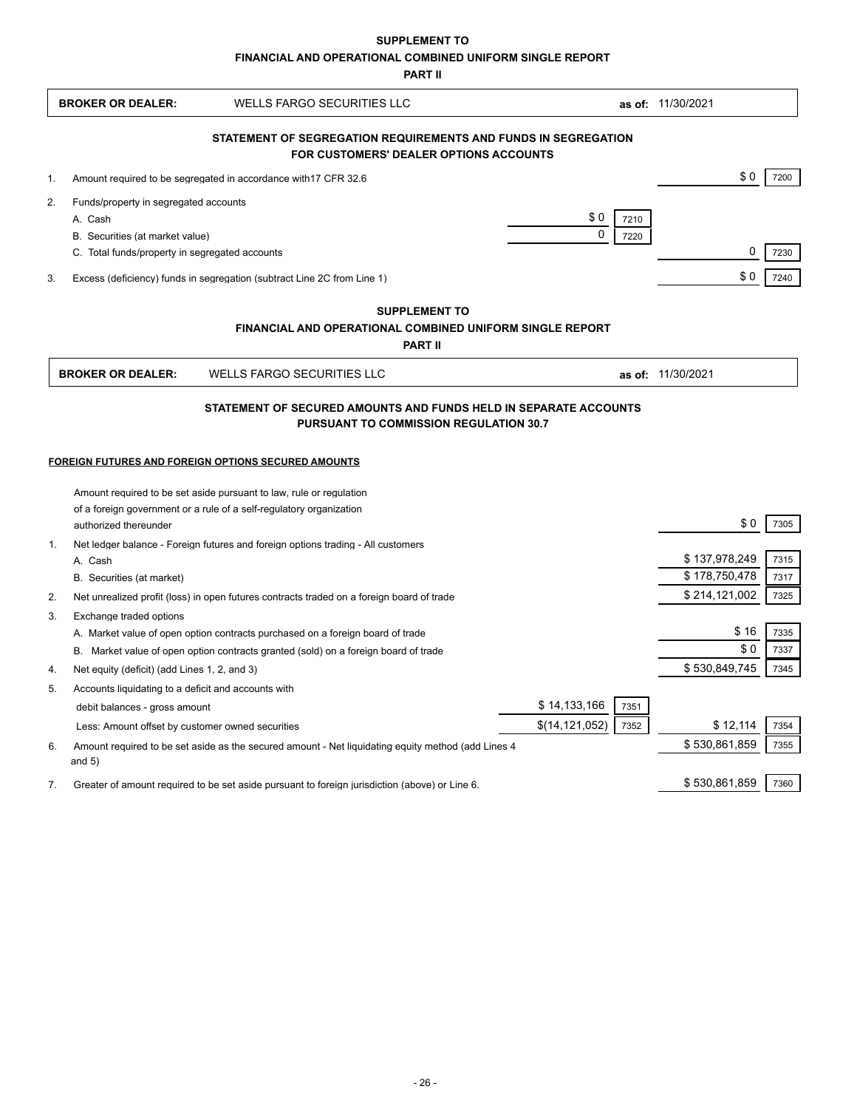**SUPPLEMENT TO**

**FINANCIAL AND OPERATIONAL COMBINED UNIFORM SINGLE REPORT**

**PART II**

|    | <b>BROKER OR DEALER:</b>                            | <b>WELLS FARGO SECURITIES LLC</b>                                                                                          |                  |      | as of: 11/30/2021 |      |
|----|-----------------------------------------------------|----------------------------------------------------------------------------------------------------------------------------|------------------|------|-------------------|------|
|    |                                                     | STATEMENT OF SEGREGATION REQUIREMENTS AND FUNDS IN SEGREGATION<br><b>FOR CUSTOMERS' DEALER OPTIONS ACCOUNTS</b>            |                  |      |                   |      |
| 1. |                                                     | Amount required to be segregated in accordance with 17 CFR 32.6                                                            |                  |      | \$0               | 7200 |
| 2. | Funds/property in segregated accounts               |                                                                                                                            |                  |      |                   |      |
|    | A. Cash                                             |                                                                                                                            | \$0              | 7210 |                   |      |
|    | B. Securities (at market value)                     |                                                                                                                            | $\mathbf 0$      | 7220 |                   |      |
|    | C. Total funds/property in segregated accounts      |                                                                                                                            |                  |      | 0                 | 7230 |
| 3. |                                                     | Excess (deficiency) funds in segregation (subtract Line 2C from Line 1)                                                    |                  |      | \$0               | 7240 |
|    |                                                     | <b>SUPPLEMENT TO</b><br>FINANCIAL AND OPERATIONAL COMBINED UNIFORM SINGLE REPORT<br><b>PART II</b>                         |                  |      |                   |      |
|    | <b>BROKER OR DEALER:</b>                            | <b>WELLS FARGO SECURITIES LLC</b>                                                                                          |                  |      | as of: 11/30/2021 |      |
|    |                                                     | FOREIGN FUTURES AND FOREIGN OPTIONS SECURED AMOUNTS<br>Amount required to be set aside pursuant to law, rule or regulation |                  |      |                   |      |
|    | authorized thereunder                               | of a foreign government or a rule of a self-regulatory organization                                                        |                  |      | \$0               | 7305 |
| 1. |                                                     | Net ledger balance - Foreign futures and foreign options trading - All customers                                           |                  |      |                   |      |
|    | A. Cash                                             |                                                                                                                            |                  |      | \$137,978,249     | 7315 |
|    | B. Securities (at market)                           |                                                                                                                            |                  |      | \$178,750,478     | 7317 |
| 2. |                                                     | Net unrealized profit (loss) in open futures contracts traded on a foreign board of trade                                  |                  |      | \$214,121,002     | 7325 |
| 3. | Exchange traded options                             |                                                                                                                            |                  |      |                   |      |
|    |                                                     | A. Market value of open option contracts purchased on a foreign board of trade                                             |                  |      | \$16              | 7335 |
|    |                                                     | B. Market value of open option contracts granted (sold) on a foreign board of trade                                        |                  |      | \$0               | 7337 |
| 4. | Net equity (deficit) (add Lines 1, 2, and 3)        |                                                                                                                            |                  |      | \$530,849,745     | 7345 |
| 5. | Accounts liquidating to a deficit and accounts with |                                                                                                                            |                  |      |                   |      |
|    | debit balances - gross amount                       |                                                                                                                            | \$14,133,166     | 7351 |                   |      |
|    | Less: Amount offset by customer owned securities    |                                                                                                                            | \$(14, 121, 052) | 7352 | \$12,114          | 7354 |
| 6. | and $5)$                                            | Amount required to be set aside as the secured amount - Net liquidating equity method (add Lines 4                         |                  |      | \$530,861,859     | 7355 |
| 7. |                                                     | Greater of amount required to be set aside pursuant to foreign jurisdiction (above) or Line 6.                             |                  |      | \$530,861,859     | 7360 |